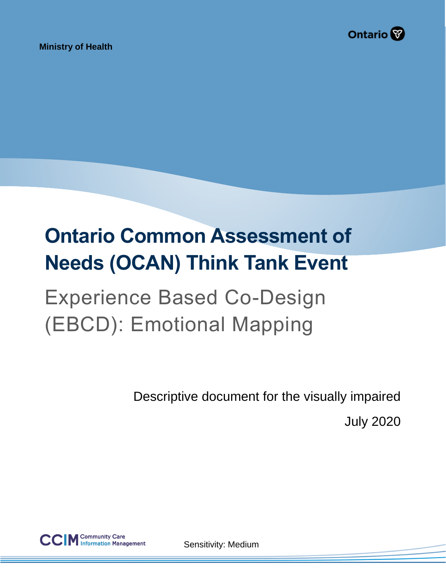

**Ministry of Health** 

# **Ontario Common Assessment of Needs (OCAN) Think Tank Event**

## Experience Based Co-Design (EBCD): Emotional Mapping

Descriptive document for the visually impaired

July 2020



Sensitivity: Medium